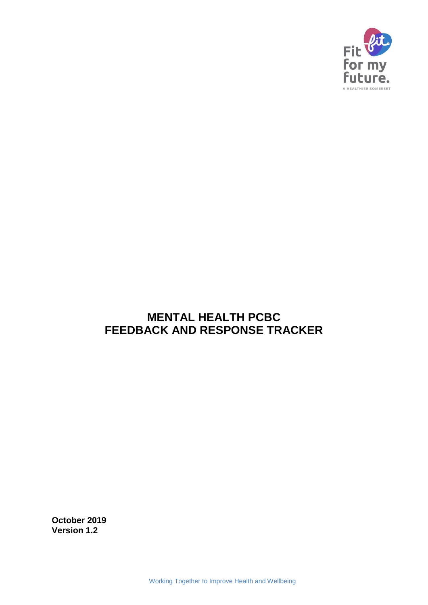

## **MENTAL HEALTH PCBC FEEDBACK AND RESPONSE TRACKER**

**October 2019 Version 1.2**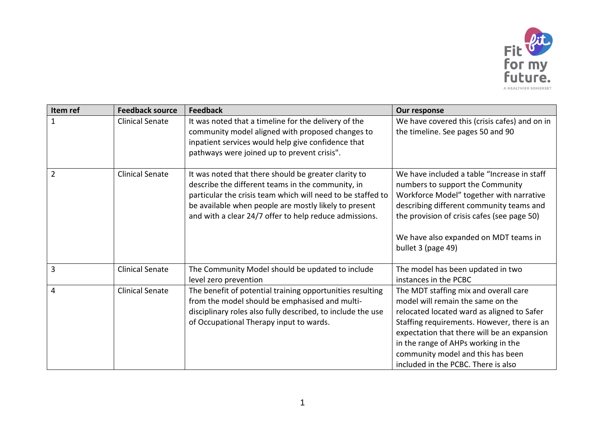

| Item ref       | <b>Feedback source</b> | <b>Feedback</b>                                                                                                                                                                                                                                                                             | Our response                                                                                                                                                                                                                                                                                                                              |
|----------------|------------------------|---------------------------------------------------------------------------------------------------------------------------------------------------------------------------------------------------------------------------------------------------------------------------------------------|-------------------------------------------------------------------------------------------------------------------------------------------------------------------------------------------------------------------------------------------------------------------------------------------------------------------------------------------|
|                | <b>Clinical Senate</b> | It was noted that a timeline for the delivery of the<br>community model aligned with proposed changes to<br>inpatient services would help give confidence that<br>pathways were joined up to prevent crisis".                                                                               | We have covered this (crisis cafes) and on in<br>the timeline. See pages 50 and 90                                                                                                                                                                                                                                                        |
| $\overline{2}$ | <b>Clinical Senate</b> | It was noted that there should be greater clarity to<br>describe the different teams in the community, in<br>particular the crisis team which will need to be staffed to<br>be available when people are mostly likely to present<br>and with a clear 24/7 offer to help reduce admissions. | We have included a table "Increase in staff<br>numbers to support the Community<br>Workforce Model" together with narrative<br>describing different community teams and<br>the provision of crisis cafes (see page 50)<br>We have also expanded on MDT teams in<br>bullet 3 (page 49)                                                     |
| 3              | <b>Clinical Senate</b> | The Community Model should be updated to include<br>level zero prevention                                                                                                                                                                                                                   | The model has been updated in two<br>instances in the PCBC                                                                                                                                                                                                                                                                                |
| 4              | <b>Clinical Senate</b> | The benefit of potential training opportunities resulting<br>from the model should be emphasised and multi-<br>disciplinary roles also fully described, to include the use<br>of Occupational Therapy input to wards.                                                                       | The MDT staffing mix and overall care<br>model will remain the same on the<br>relocated located ward as aligned to Safer<br>Staffing requirements. However, there is an<br>expectation that there will be an expansion<br>in the range of AHPs working in the<br>community model and this has been<br>included in the PCBC. There is also |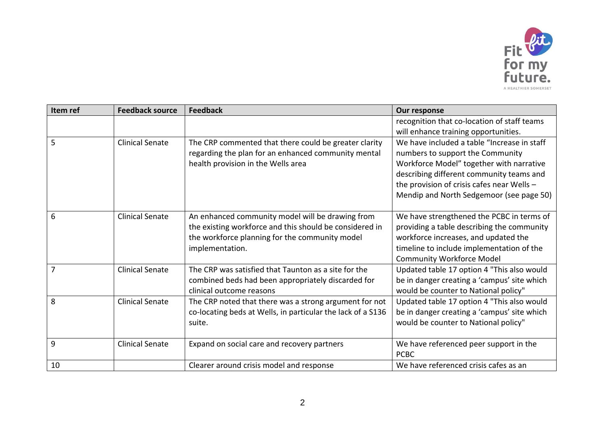

| Item ref | <b>Feedback source</b> | <b>Feedback</b>                                             | Our response                                |
|----------|------------------------|-------------------------------------------------------------|---------------------------------------------|
|          |                        |                                                             | recognition that co-location of staff teams |
|          |                        |                                                             | will enhance training opportunities.        |
| 5        | <b>Clinical Senate</b> | The CRP commented that there could be greater clarity       | We have included a table "Increase in staff |
|          |                        | regarding the plan for an enhanced community mental         | numbers to support the Community            |
|          |                        | health provision in the Wells area                          | Workforce Model" together with narrative    |
|          |                        |                                                             | describing different community teams and    |
|          |                        |                                                             | the provision of crisis cafes near Wells -  |
|          |                        |                                                             | Mendip and North Sedgemoor (see page 50)    |
|          |                        |                                                             |                                             |
| 6        | <b>Clinical Senate</b> | An enhanced community model will be drawing from            | We have strengthened the PCBC in terms of   |
|          |                        | the existing workforce and this should be considered in     | providing a table describing the community  |
|          |                        | the workforce planning for the community model              | workforce increases, and updated the        |
|          |                        | implementation.                                             | timeline to include implementation of the   |
|          |                        |                                                             | <b>Community Workforce Model</b>            |
| 7        | <b>Clinical Senate</b> | The CRP was satisfied that Taunton as a site for the        | Updated table 17 option 4 "This also would  |
|          |                        | combined beds had been appropriately discarded for          | be in danger creating a 'campus' site which |
|          |                        | clinical outcome reasons                                    | would be counter to National policy"        |
| 8        | <b>Clinical Senate</b> | The CRP noted that there was a strong argument for not      | Updated table 17 option 4 "This also would  |
|          |                        | co-locating beds at Wells, in particular the lack of a S136 | be in danger creating a 'campus' site which |
|          |                        | suite.                                                      | would be counter to National policy"        |
|          |                        |                                                             |                                             |
| 9        | <b>Clinical Senate</b> | Expand on social care and recovery partners                 | We have referenced peer support in the      |
|          |                        |                                                             | <b>PCBC</b>                                 |
| 10       |                        | Clearer around crisis model and response                    | We have referenced crisis cafes as an       |